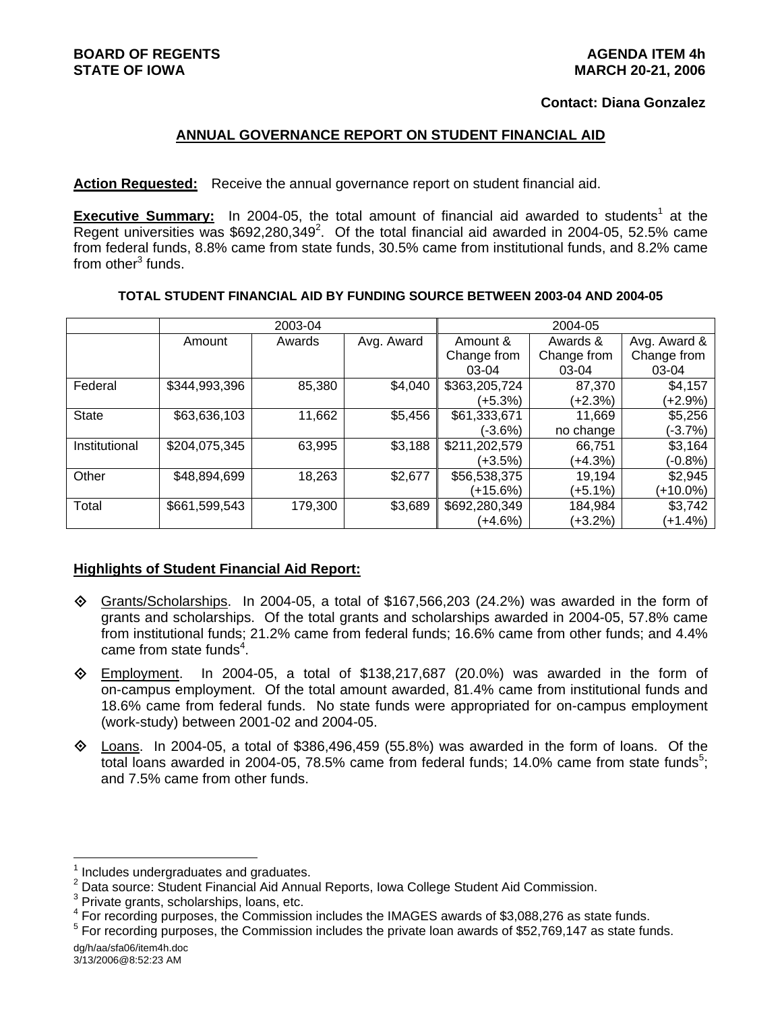### **Contact: Diana Gonzalez**

### **ANNUAL GOVERNANCE REPORT ON STUDENT FINANCIAL AID**

**Action Requested:** Receive the annual governance report on student financial aid.

**Executive Summary:** In 2004-05, the total amount of financial aid awarded to students<sup>1</sup> at the Regent universities was  $$692,280,349^2$ . Of the total financial aid awarded in 2004-05, 52.5% came from federal funds, 8.8% came from state funds, 30.5% came from institutional funds, and 8.2% came from other<sup>3</sup> funds.

#### **TOTAL STUDENT FINANCIAL AID BY FUNDING SOURCE BETWEEN 2003-04 AND 2004-05**

|               | 2003-04       |         |            | 2004-05       |             |              |
|---------------|---------------|---------|------------|---------------|-------------|--------------|
|               | Amount        | Awards  | Avg. Award | Amount &      | Awards &    | Avg. Award & |
|               |               |         |            | Change from   | Change from | Change from  |
|               |               |         |            | $03-04$       | $03-04$     | 03-04        |
| Federal       | \$344,993,396 | 85,380  | \$4,040    | \$363,205,724 | 87,370      | \$4,157      |
|               |               |         |            | (+5.3%)       | (+2.3%)     | (+2.9%)      |
| <b>State</b>  | \$63,636,103  | 11,662  | \$5,456    | \$61,333,671  | 11,669      | \$5,256      |
|               |               |         |            | (-3.6%)       | no change   | $(-3.7%)$    |
| Institutional | \$204,075,345 | 63,995  | \$3,188    | \$211,202,579 | 66,751      | \$3,164      |
|               |               |         |            | (+3.5%)       | $(+4.3%)$   | $(-0.8%)$    |
| Other         | \$48,894,699  | 18,263  | \$2,677    | \$56,538,375  | 19,194      | \$2,945      |
|               |               |         |            | (+15.6%)      | (+5.1%)     | $(+10.0\%)$  |
| Total         | \$661,599,543 | 179,300 | \$3,689    | \$692,280,349 | 184,984     | \$3,742      |
|               |               |         |            | (+4.6%)       | (+3.2%)     | $(+1.4%)$    |

## **Highlights of Student Financial Aid Report:**

- $\diamond$  Grants/Scholarships. In 2004-05, a total of \$167,566,203 (24.2%) was awarded in the form of grants and scholarships. Of the total grants and scholarships awarded in 2004-05, 57.8% came from institutional funds; 21.2% came from federal funds; 16.6% came from other funds; and 4.4% came from state funds $4$ .
- $\Diamond$  Employment. In 2004-05, a total of \$138,217,687 (20.0%) was awarded in the form of on-campus employment. Of the total amount awarded, 81.4% came from institutional funds and 18.6% came from federal funds. No state funds were appropriated for on-campus employment (work-study) between 2001-02 and 2004-05.
- $\diamond$  Loans. In 2004-05, a total of \$386,496,459 (55.8%) was awarded in the form of loans. Of the total loans awarded in 2004-05, 78.5% came from federal funds; 14.0% came from state funds<sup>5</sup>; and 7.5% came from other funds.

<sup>1</sup> Includes undergraduates and graduates.

<sup>&</sup>lt;sup>2</sup> Data source: Student Financial Aid Annual Reports, Iowa College Student Aid Commission.

 $3$  Private grants, scholarships, loans, etc.

<sup>&</sup>lt;sup>4</sup> For recording purposes, the Commission includes the IMAGES awards of \$3,088,276 as state funds.

<sup>&</sup>lt;sup>5</sup> For recording purposes, the Commission includes the private loan awards of \$52,769,147 as state funds.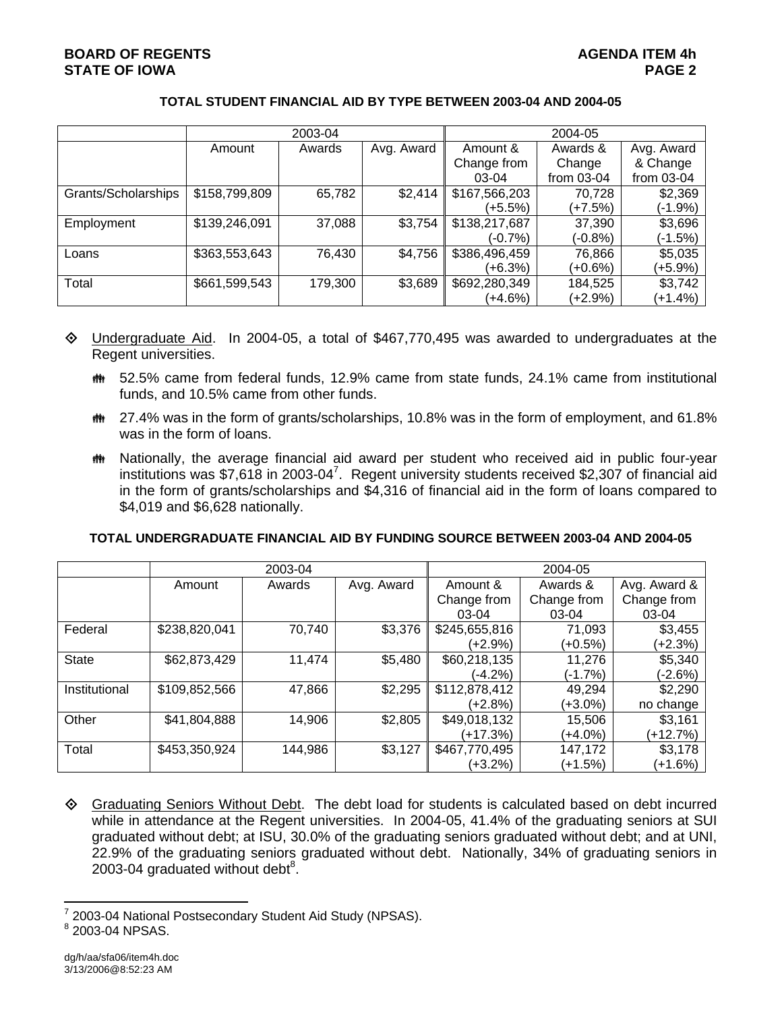# **BOARD OF REGENTS AGENUS AGENDA ITEM 4h AGENUA** ITEM 4h **STATE OF IOWA** PAGE 2

#### **TOTAL STUDENT FINANCIAL AID BY TYPE BETWEEN 2003-04 AND 2004-05**

|                     |               | 2003-04 |            | 2004-05       |              |              |  |
|---------------------|---------------|---------|------------|---------------|--------------|--------------|--|
|                     | Amount        | Awards  | Avg. Award | Amount &      | Awards &     | Avg. Award   |  |
|                     |               |         |            | Change from   | Change       | & Change     |  |
|                     |               |         |            | 03-04         | from $03-04$ | from $03-04$ |  |
| Grants/Scholarships | \$158,799,809 | 65,782  | \$2,414    | \$167,566,203 | 70,728       | \$2,369      |  |
|                     |               |         |            | (+5.5%)       | (+7.5%)      | (-1.9%)      |  |
| Employment          | \$139,246,091 | 37,088  | \$3,754    | \$138,217,687 | 37,390       | \$3,696      |  |
|                     |               |         |            | (-0.7%)       | (-0.8%)      | (-1.5%)      |  |
| Loans               | \$363,553,643 | 76,430  | \$4,756    | \$386,496,459 | 76,866       | \$5,035      |  |
|                     |               |         |            | (+6.3%)       | (+0.6%)      | (+5.9%)      |  |
| Total               | \$661,599,543 | 179,300 | \$3,689    | \$692,280,349 | 184,525      | \$3,742      |  |
|                     |               |         |            | (+4.6%)       | (+2.9%)      | (+1.4%)      |  |

- $\Diamond$  Undergraduate Aid. In 2004-05, a total of \$467,770,495 was awarded to undergraduates at the Regent universities.
	- $m$  52.5% came from federal funds, 12.9% came from state funds, 24.1% came from institutional funds, and 10.5% came from other funds.
	- $m$  27.4% was in the form of grants/scholarships, 10.8% was in the form of employment, and 61.8% was in the form of loans.
	- $m$  Nationally, the average financial aid award per student who received aid in public four-year institutions was \$7,618 in 2003-04<sup>7</sup>. Regent university students received \$2,307 of financial aid in the form of grants/scholarships and \$4,316 of financial aid in the form of loans compared to \$4,019 and \$6,628 nationally.

#### **TOTAL UNDERGRADUATE FINANCIAL AID BY FUNDING SOURCE BETWEEN 2003-04 AND 2004-05**

|               | 2003-04       |         |            | 2004-05       |             |              |
|---------------|---------------|---------|------------|---------------|-------------|--------------|
|               | Amount        | Awards  | Avg. Award | Amount &      | Awards &    | Avg. Award & |
|               |               |         |            | Change from   | Change from | Change from  |
|               |               |         |            | $03-04$       | $03-04$     | 03-04        |
| Federal       | \$238,820,041 | 70,740  | \$3,376    | \$245,655,816 | 71,093      | \$3,455      |
|               |               |         |            | $(+2.9%)$     | (+0.5%)     | $(+2.3%)$    |
| <b>State</b>  | \$62,873,429  | 11,474  | \$5,480    | \$60,218,135  | 11,276      | \$5,340      |
|               |               |         |            | (-4.2%)       | (-1.7%)     | $(-2.6%)$    |
| Institutional | \$109,852,566 | 47,866  | \$2,295    | \$112,878,412 | 49,294      | \$2,290      |
|               |               |         |            | (+2.8%)       | (+3.0%)     | no change    |
| Other         | \$41,804,888  | 14,906  | \$2,805    | \$49,018,132  | 15.506      | \$3,161      |
|               |               |         |            | (+17.3%)      | (+4.0%)     | $(+12.7%)$   |
| Total         | \$453,350,924 | 144,986 | \$3,127    | \$467,770,495 | 147,172     | \$3,178      |
|               |               |         |            | (+3.2%)       | (+1.5%)     | $(+1.6%)$    |

 Graduating Seniors Without Debt. The debt load for students is calculated based on debt incurred while in attendance at the Regent universities. In 2004-05, 41.4% of the graduating seniors at SUI graduated without debt; at ISU, 30.0% of the graduating seniors graduated without debt; and at UNI, 22.9% of the graduating seniors graduated without debt. Nationally, 34% of graduating seniors in 2003-04 graduated without debt $8$ .

<sup>7</sup> 2003-04 National Postsecondary Student Aid Study (NPSAS). 8

<sup>&</sup>lt;sup>8</sup> 2003-04 NPSAS.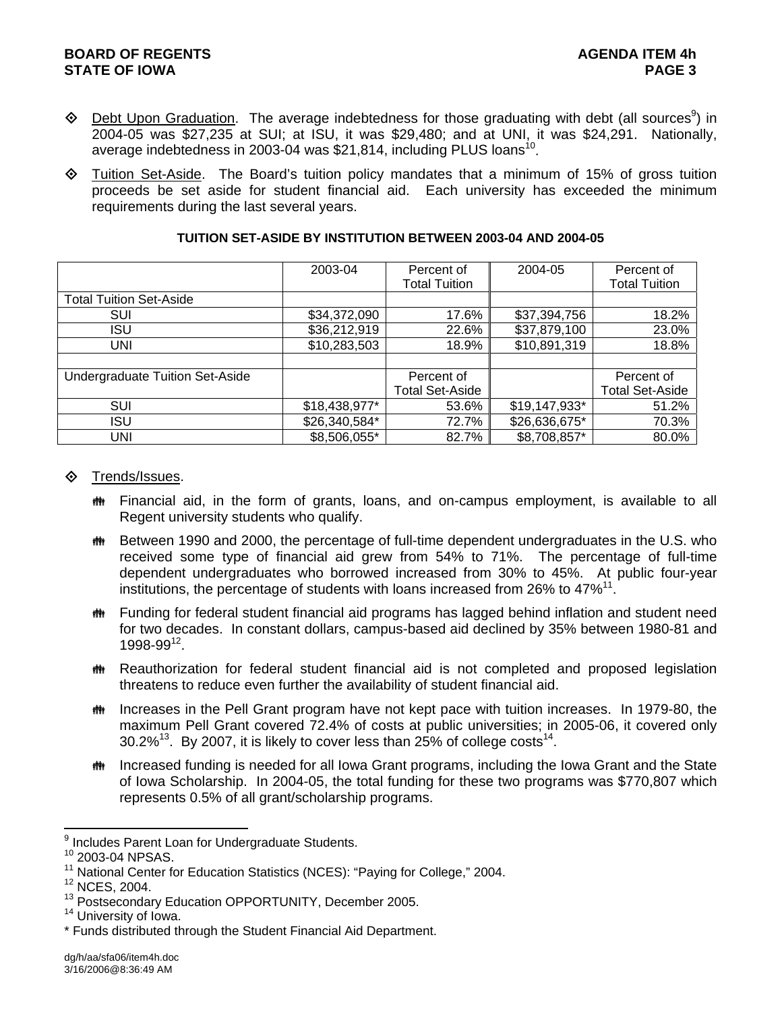- $\Diamond$  Debt Upon Graduation. The average indebtedness for those graduating with debt (all sources<sup>9</sup>) in 2004-05 was \$27,235 at SUI; at ISU, it was \$29,480; and at UNI, it was \$24,291. Nationally, average indebtedness in 2003-04 was \$21,814, including PLUS loans<sup>10</sup>.
- $\Diamond$  Tuition Set-Aside. The Board's tuition policy mandates that a minimum of 15% of gross tuition proceeds be set aside for student financial aid. Each university has exceeded the minimum requirements during the last several years.

|                                 | 2003-04       | Percent of<br><b>Total Tuition</b> | 2004-05       | Percent of<br><b>Total Tuition</b> |
|---------------------------------|---------------|------------------------------------|---------------|------------------------------------|
| <b>Total Tuition Set-Aside</b>  |               |                                    |               |                                    |
| SUI                             | \$34,372,090  | 17.6%                              | \$37,394,756  | 18.2%                              |
| <b>ISU</b>                      | \$36,212,919  | 22.6%                              | \$37,879,100  | 23.0%                              |
| UNI                             | \$10,283,503  | 18.9%                              | \$10,891,319  | 18.8%                              |
|                                 |               |                                    |               |                                    |
| Undergraduate Tuition Set-Aside |               | Percent of                         |               | Percent of                         |
|                                 |               | Total Set-Aside                    |               | <b>Total Set-Aside</b>             |
| SUI                             | \$18,438,977* | 53.6%                              | \$19,147,933* | 51.2%                              |
| <b>ISU</b>                      | \$26,340,584* | 72.7%                              | \$26,636,675* | 70.3%                              |
| UNI                             | \$8,506,055*  | 82.7%                              | \$8,708,857*  | 80.0%                              |

## **TUITION SET-ASIDE BY INSTITUTION BETWEEN 2003-04 AND 2004-05**

## **♦ Trends/Issues.**

- **#\*** Financial aid, in the form of grants, loans, and on-campus employment, is available to all Regent university students who qualify.
- th Between 1990 and 2000, the percentage of full-time dependent undergraduates in the U.S. who received some type of financial aid grew from 54% to 71%. The percentage of full-time dependent undergraduates who borrowed increased from 30% to 45%. At public four-year institutions, the percentage of students with loans increased from 26% to  $47\%/1$ .
- **\*\*** Funding for federal student financial aid programs has lagged behind inflation and student need for two decades. In constant dollars, campus-based aid declined by 35% between 1980-81 and  $1998-99^{12}$ .
- **\*\*** Reauthorization for federal student financial aid is not completed and proposed legislation threatens to reduce even further the availability of student financial aid.
- **\*\*** Increases in the Pell Grant program have not kept pace with tuition increases. In 1979-80, the maximum Pell Grant covered 72.4% of costs at public universities; in 2005-06, it covered only  $30.2\%$ <sup>13</sup>. By 2007, it is likely to cover less than 25% of college costs<sup>14</sup>.
- **##** Increased funding is needed for all Iowa Grant programs, including the Iowa Grant and the State of Iowa Scholarship. In 2004-05, the total funding for these two programs was \$770,807 which represents 0.5% of all grant/scholarship programs.

l <sup>9</sup> Includes Parent Loan for Undergraduate Students.

<sup>10 2003-04</sup> NPSAS.

<sup>&</sup>lt;sup>11</sup> National Center for Education Statistics (NCES): "Paying for College," 2004.<br><sup>12</sup> NCES, 2004.

 $13$  Postsecondary Education OPPORTUNITY, December 2005.<br> $14$  University of Iowa.

<sup>\*</sup> Funds distributed through the Student Financial Aid Department.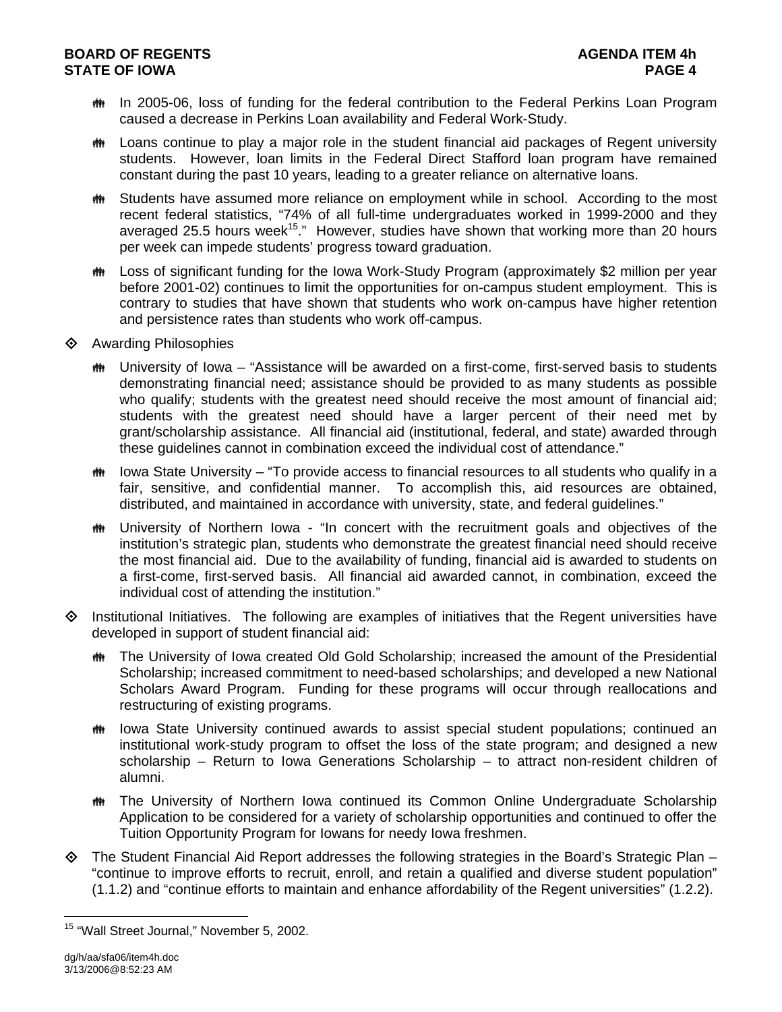# **BOARD OF REGENTS AGENUS AGENDA ITEM 4h STATE OF IOWA** PAGE 4

- **##** In 2005-06, loss of funding for the federal contribution to the Federal Perkins Loan Program caused a decrease in Perkins Loan availability and Federal Work-Study.
- $m$  Loans continue to play a major role in the student financial aid packages of Regent university students. However, loan limits in the Federal Direct Stafford loan program have remained constant during the past 10 years, leading to a greater reliance on alternative loans.
- **##** Students have assumed more reliance on employment while in school. According to the most recent federal statistics, "74% of all full-time undergraduates worked in 1999-2000 and they averaged 25.5 hours week<sup>15</sup>." However, studies have shown that working more than 20 hours per week can impede students' progress toward graduation.
- **\*\*** Loss of significant funding for the Iowa Work-Study Program (approximately \$2 million per year before 2001-02) continues to limit the opportunities for on-campus student employment. This is contrary to studies that have shown that students who work on-campus have higher retention and persistence rates than students who work off-campus.
- **♦ Awarding Philosophies** 
	- University of Iowa "Assistance will be awarded on a first-come, first-served basis to students demonstrating financial need; assistance should be provided to as many students as possible who qualify; students with the greatest need should receive the most amount of financial aid; students with the greatest need should have a larger percent of their need met by grant/scholarship assistance. All financial aid (institutional, federal, and state) awarded through these guidelines cannot in combination exceed the individual cost of attendance."
	- $\ddot{\mathbf{m}}$  lowa State University "To provide access to financial resources to all students who qualify in a fair, sensitive, and confidential manner. To accomplish this, aid resources are obtained, distributed, and maintained in accordance with university, state, and federal guidelines."
	- $m$  University of Northern Iowa "In concert with the recruitment goals and objectives of the institution's strategic plan, students who demonstrate the greatest financial need should receive the most financial aid. Due to the availability of funding, financial aid is awarded to students on a first-come, first-served basis. All financial aid awarded cannot, in combination, exceed the individual cost of attending the institution."
- $\Diamond$  Institutional Initiatives. The following are examples of initiatives that the Regent universities have developed in support of student financial aid:
	- **\*\*** The University of Iowa created Old Gold Scholarship; increased the amount of the Presidential Scholarship; increased commitment to need-based scholarships; and developed a new National Scholars Award Program. Funding for these programs will occur through reallocations and restructuring of existing programs.
	- the lowa State University continued awards to assist special student populations; continued an institutional work-study program to offset the loss of the state program; and designed a new scholarship – Return to Iowa Generations Scholarship – to attract non-resident children of alumni.
	- **\*\*** The University of Northern Iowa continued its Common Online Undergraduate Scholarship Application to be considered for a variety of scholarship opportunities and continued to offer the Tuition Opportunity Program for Iowans for needy Iowa freshmen.
- $\diamond$  The Student Financial Aid Report addresses the following strategies in the Board's Strategic Plan "continue to improve efforts to recruit, enroll, and retain a qualified and diverse student population" (1.1.2) and "continue efforts to maintain and enhance affordability of the Regent universities" (1.2.2).

<sup>&</sup>lt;sup>15</sup> "Wall Street Journal," November 5, 2002.